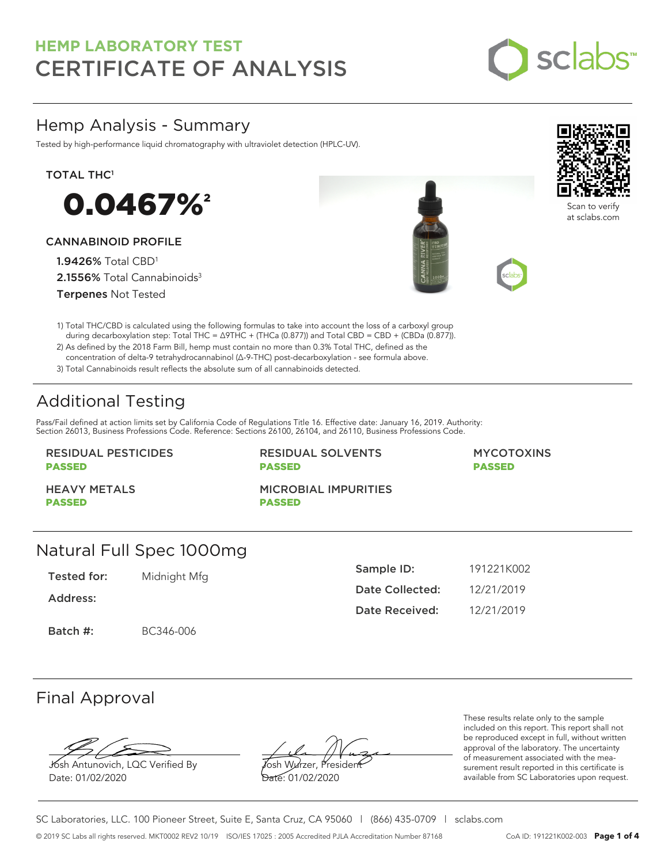

## Hemp Analysis - Summary

Tested by high-performance liquid chromatography with ultraviolet detection (HPLC-UV).

#### TOTAL THC<sup>1</sup>



#### CANNABINOID PROFILE

1.9426% Total CBD<sup>1</sup> 2.1556% Total Cannabinoids<sup>3</sup> Terpenes Not Tested





Scan to verify at sclabs.com

1) Total THC/CBD is calculated using the following formulas to take into account the loss of a carboxyl group during decarboxylation step: Total THC = ∆9THC + (THCa (0.877)) and Total CBD = CBD + (CBDa (0.877)).

2) As defined by the 2018 Farm Bill, hemp must contain no more than 0.3% Total THC, defined as the concentration of delta-9 tetrahydrocannabinol (Δ-9-THC) post-decarboxylation - see formula above.

3) Total Cannabinoids result reflects the absolute sum of all cannabinoids detected.

# Additional Testing

Pass/Fail defined at action limits set by California Code of Regulations Title 16. Effective date: January 16, 2019. Authority: Section 26013, Business Professions Code. Reference: Sections 26100, 26104, and 26110, Business Professions Code.

#### RESIDUAL PESTICIDES PASSED

RESIDUAL SOLVENTS PASSED

#### MYCOTOXINS PASSED

HEAVY METALS PASSED

MICROBIAL IMPURITIES PASSED

## Natural Full Spec 1000mg

Tested for: Midnight Mfg

Address:

Batch #: BC346-006

| Sample ID:      | 191221K002 |
|-----------------|------------|
| Date Collected: | 12/21/2019 |
| Date Received:  | 12/21/2019 |

## Final Approval

Josh Antunovich, LQC Verified By Date: 01/02/2020

Josh Wurzer, President Date: 01/02/2020

These results relate only to the sample included on this report. This report shall not be reproduced except in full, without written approval of the laboratory. The uncertainty of measurement associated with the measurement result reported in this certificate is available from SC Laboratories upon request.

SC Laboratories, LLC. 100 Pioneer Street, Suite E, Santa Cruz, CA 95060 | (866) 435-0709 | sclabs.com © 2019 SC Labs all rights reserved. MKT0002 REV2 10/19 ISO/IES 17025 : 2005 Accredited PJLA Accreditation Number 87168 CoA ID: 191221K002-003 **Page 1 of 4**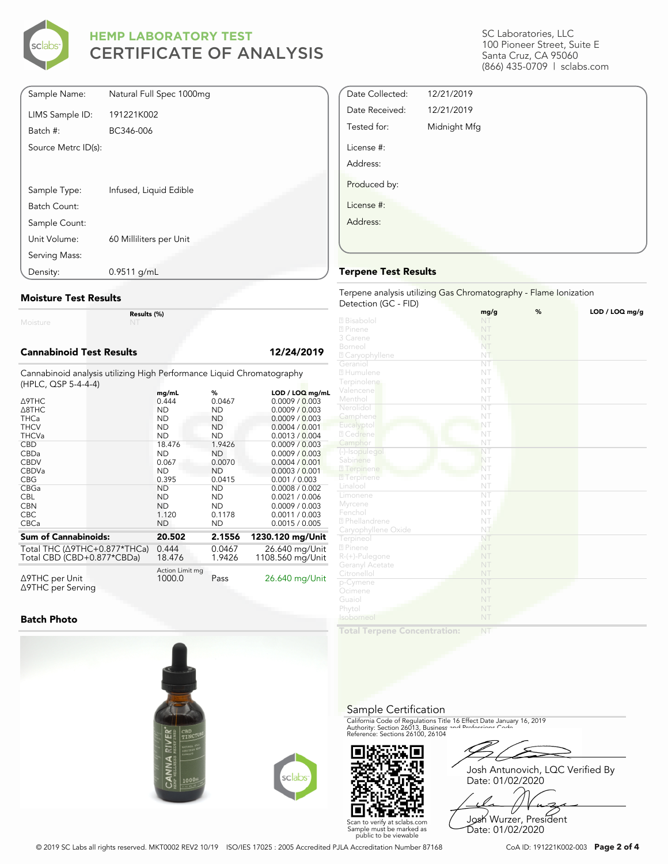

| Sample Name:        | Natural Full Spec 1000mg |
|---------------------|--------------------------|
| LIMS Sample ID:     | 191221K002               |
| Batch #:            | BC346-006                |
| Source Metrc ID(s): |                          |
|                     |                          |
| Sample Type:        | Infused, Liquid Edible   |
| Batch Count:        |                          |
| Sample Count:       |                          |
| Unit Volume:        | 60 Milliliters per Unit  |
| Serving Mass:       |                          |
| Density:            | $0.9511$ g/mL            |

#### **Moisture Test Results**

Moisture

**Results (%)**

#### **Cannabinoid Test Results 12/24/2019**

Cannabinoid analysis utilizing High Performance Liquid Chromatography (HPLC, QSP 5-4-4-4)

|                                                | mg/mL                     | %         | LOD / LOQ mg/mL  |
|------------------------------------------------|---------------------------|-----------|------------------|
| Δ9THC                                          | 0.444                     | 0.0467    | 0.0009 / 0.003   |
| $\triangle$ 8THC                               | <b>ND</b>                 | <b>ND</b> | 0.0009 / 0.003   |
| <b>THCa</b>                                    | <b>ND</b>                 | <b>ND</b> | 0.0009 / 0.003   |
| <b>THCV</b>                                    | <b>ND</b>                 | <b>ND</b> | 0.0004 / 0.001   |
| <b>THCVa</b>                                   | <b>ND</b>                 | <b>ND</b> | 0.0013 / 0.004   |
| <b>CBD</b>                                     | 18.476                    | 1.9426    | 0.0009 / 0.003   |
| CBDa                                           | <b>ND</b>                 | ND        | 0.0009 / 0.003   |
| <b>CBDV</b>                                    | 0.067                     | 0.0070    | 0.0004 / 0.001   |
| <b>CBDVa</b>                                   | <b>ND</b>                 | <b>ND</b> | 0.0003 / 0.001   |
| <b>CBG</b>                                     | 0.395                     | 0.0415    | 0.001 / 0.003    |
| CBGa                                           | <b>ND</b>                 | <b>ND</b> | 0.0008 / 0.002   |
| <b>CBL</b>                                     | <b>ND</b>                 | <b>ND</b> | 0.0021 / 0.006   |
| <b>CBN</b>                                     | <b>ND</b>                 | ND.       | 0.0009 / 0.003   |
| <b>CBC</b>                                     | 1.120                     | 0.1178    | 0.0011 / 0.003   |
| <b>CBCa</b>                                    | <b>ND</b>                 | <b>ND</b> | 0.0015 / 0.005   |
| <b>Sum of Cannabinoids:</b>                    | 20.502                    | 2.1556    | 1230.120 mg/Unit |
| Total THC (∆9THC+0.877*THCa)                   | 0.444                     | 0.0467    | 26.640 mg/Unit   |
| Total CBD (CBD+0.877*CBDa)                     | 18.476                    | 1.9426    | 1108.560 mg/Unit |
| $\triangle$ 9THC per Unit<br>∆9THC per Serving | Action Limit mg<br>1000.0 | Pass      | 26.640 mg/Unit   |

**Batch Photo**



SC Laboratories, LLC 100 Pioneer Street, Suite E Santa Cruz, CA 95060 (866) 435-0709 | sclabs.com

| Date Collected: | 12/21/2019   |  |  |
|-----------------|--------------|--|--|
| Date Received:  | 12/21/2019   |  |  |
| Tested for:     | Midnight Mfg |  |  |
| License #:      |              |  |  |
| Address:        |              |  |  |
| Produced by:    |              |  |  |
| License #:      |              |  |  |
| Address:        |              |  |  |
|                 |              |  |  |
|                 |              |  |  |

#### **Terpene Test Results**

Terpene analysis utilizing Gas Chromatography - Flame Ionization Detection (GC - FID)

|                     | mg/g                   | % | LOD / LOQ mg/g |
|---------------------|------------------------|---|----------------|
| 2 Bisabolol         | NT                     |   |                |
| 2 Pinene            | NT                     |   |                |
| 3 Carene            | NT                     |   |                |
| Borneol             | NT                     |   |                |
| 2 Caryophyllene     | NT                     |   |                |
| Geraniol            | NT                     |   |                |
| 2 Humulene          | NT                     |   |                |
| Terpinolene         | NT                     |   |                |
| Valencene           | NT                     |   |                |
| Menthol             | NT                     |   |                |
| Nerolidol           | NT                     |   |                |
| Camphene            | NT                     |   |                |
| Eucalyptol          | NT                     |   |                |
| 2 Cedrene           | NT                     |   |                |
| Camphor             | NT                     |   |                |
| (-)-Isopulegol      | NT                     |   |                |
| Sabinene            | NT                     |   |                |
| 27 Terpinene        | NT                     |   |                |
| <b>7</b> Terpinene  | NT                     |   |                |
| Linalool            | NT                     |   |                |
| Limonene            | $\overline{\text{NT}}$ |   |                |
| Myrcene             | NT                     |   |                |
| Fenchol             | NT                     |   |                |
| 2 Phellandrene      | NT                     |   |                |
| Caryophyllene Oxide | NT                     |   |                |
| Terpineol           | NT                     |   |                |
| 2 Pinene            | NT                     |   |                |
| $R-(+)$ -Pulegone   | NT                     |   |                |
| Geranyl Acetate     | NT                     |   |                |
| Citronellol         | NT                     |   |                |
| p-Cymene            | NT                     |   |                |
| Ocimene             | NT                     |   |                |
| Guaiol              | NT                     |   |                |
| Phytol              | NT                     |   |                |
| Isoborneol          | NT                     |   |                |
|                     |                        |   |                |

**Total Terpene Concentration:**

Sample Certification

Scan to verify at sclabs.com Sample must be marked as public to be viewable

California Code of Regulations Title 16 Effect Date January 16, 2019<br>Authority: Section 26013, Business and Professions Code.<br>Reference: Sections 26100, 26104

Josh Antunovich, LQC Verified By Date: 01/02/2020

Josh Wurzer, President

Date: 01/02/2020

© 2019 SC Labs all rights reserved. MKT0002 REV2 10/19 ISO/IES 17025 : 2005 Accredited PJLA Accreditation Number 87168 CoA ID: 191221K002-003 **Page 2 of 4**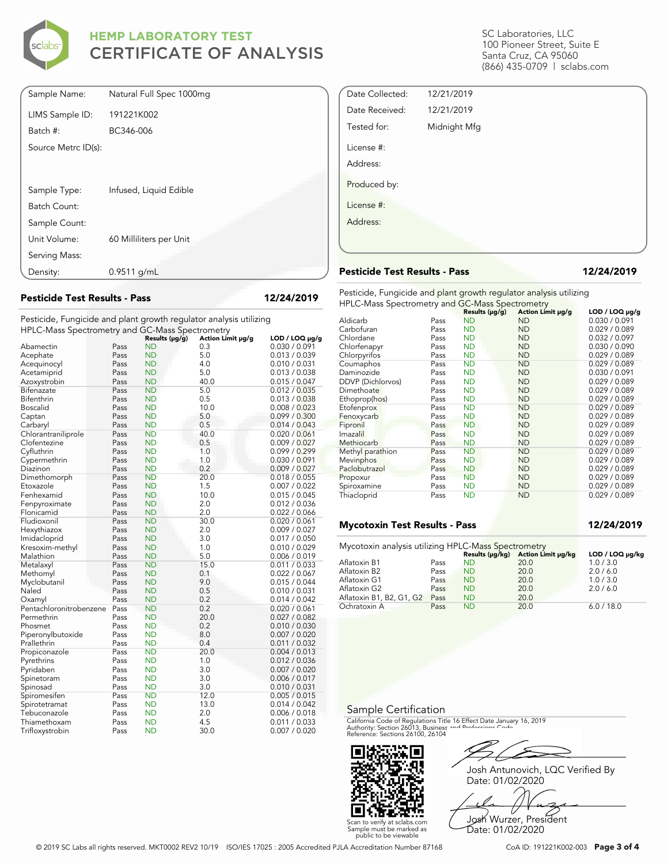

| Sample Name:        | Natural Full Spec 1000mg |
|---------------------|--------------------------|
| LIMS Sample ID:     | 191221K002               |
| Batch #:            | BC346-006                |
| Source Metrc ID(s): |                          |
|                     |                          |
|                     |                          |
| Sample Type:        | Infused, Liquid Edible   |
| Batch Count:        |                          |
| Sample Count:       |                          |
| Unit Volume:        | 60 Milliliters per Unit  |
| Serving Mass:       |                          |
| Density:            | $0.9511$ g/mL            |

**Pesticide Test Results - Pass 12/24/2019**

Pesticide, Fungicide and plant growth regulator analysis utilizing HPLC-Mass Spectrometry and GC-Mass Spectrometry

|                         |      | Results (µg/g) | Action Limit µg/g | $LOD / LOQ \mu g/g$ |
|-------------------------|------|----------------|-------------------|---------------------|
| Abamectin               | Pass | ND             | 0.3               | 0.030 / 0.091       |
| Acephate                | Pass | <b>ND</b>      | 5.0               | 0.013 / 0.039       |
| Acequinocyl             | Pass | <b>ND</b>      | 4.0               | 0.010 / 0.031       |
| Acetamiprid             | Pass | <b>ND</b>      | 5.0               | 0.013 / 0.038       |
| Azoxystrobin            | Pass | ND             | 40.0              | 0.015 / 0.047       |
| Bifenazate              | Pass | <b>ND</b>      | 5.0               | 0.012 / 0.035       |
| Bifenthrin              | Pass | <b>ND</b>      | 0.5               | 0.013 / 0.038       |
| <b>Boscalid</b>         | Pass | ND             | 10.0              | 0.008 / 0.023       |
| Captan                  | Pass | ND             | 5.0               | 0.099 / 0.300       |
| Carbaryl                | Pass | <b>ND</b>      | 0.5               | 0.014 / 0.043       |
| Chlorantraniliprole     | Pass | <b>ND</b>      | 40.0              | 0.020 / 0.061       |
| Clofentezine            | Pass | <b>ND</b>      | 0.5               | 0.009 / 0.027       |
| Cyfluthrin              | Pass | ND             | 1.0               | 0.099 / 0.299       |
| Cypermethrin            | Pass | <b>ND</b>      | 1.0               | 0.030 / 0.091       |
| Diazinon                | Pass | <b>ND</b>      | 0.2               | 0.009 / 0.027       |
| Dimethomorph            | Pass | <b>ND</b>      | 20.0              | 0.018 / 0.055       |
| Etoxazole               | Pass | ND             | 1.5               | 0.007 / 0.022       |
| Fenhexamid              | Pass | ND             | 10.0              | 0.015 / 0.045       |
| Fenpyroximate           | Pass | <b>ND</b>      | 2.0               | 0.012 / 0.036       |
| Flonicamid              | Pass | ND             | 2.0               | 0.022 / 0.066       |
| Fludioxonil             | Pass | <b>ND</b>      | 30.0              | 0.020 / 0.061       |
| Hexythiazox             | Pass | ND             | 2.0               | 0.009 / 0.027       |
| Imidacloprid            | Pass | <b>ND</b>      | 3.0               | 0.017 / 0.050       |
| Kresoxim-methyl         | Pass | <b>ND</b>      | 1.0               | 0.010 / 0.029       |
| Malathion               | Pass | <b>ND</b>      | 5.0               | 0.006 / 0.019       |
| Metalaxyl               | Pass | <b>ND</b>      | 15.0              | 0.011 / 0.033       |
| Methomyl                | Pass | <b>ND</b>      | 0.1               | 0.022 / 0.067       |
| Myclobutanil            | Pass | ND             | 9.0               | 0.015 / 0.044       |
| Naled                   | Pass | <b>ND</b>      | 0.5               | 0.010 / 0.031       |
| Oxamyl                  | Pass | <b>ND</b>      | 0.2               | 0.014 / 0.042       |
| Pentachloronitrobenzene | Pass | <b>ND</b>      | 0.2               | 0.020 / 0.061       |
| Permethrin              | Pass | ND             | 20.0              | 0.027 / 0.082       |
| Phosmet                 | Pass | <b>ND</b>      | 0.2               | 0.010 / 0.030       |
| Piperonylbutoxide       | Pass | <b>ND</b>      | 8.0               | 0.007 / 0.020       |
| Prallethrin             | Pass | <b>ND</b>      | 0.4               | 0.011 / 0.032       |
| Propiconazole           | Pass | <b>ND</b>      | 20.0              | 0.004 / 0.013       |
| Pyrethrins              | Pass | ND             | 1.0               | 0.012 / 0.036       |
| Pyridaben               | Pass | <b>ND</b>      | 3.0               | 0.007 / 0.020       |
| Spinetoram              | Pass | <b>ND</b>      | 3.0               | 0.006 / 0.017       |
| Spinosad                | Pass | <b>ND</b>      | 3.0               | 0.010 / 0.031       |
| Spiromesifen            | Pass | <b>ND</b>      | 12.0              | 0.005 / 0.015       |
| Spirotetramat           | Pass | ND             | 13.0              | 0.014 / 0.042       |
| Tebuconazole            | Pass | ND             | 2.0               | 0.006 / 0.018       |
| Thiamethoxam            | Pass | <b>ND</b>      | 4.5               | 0.011 / 0.033       |
| Trifloxystrobin         | Pass | <b>ND</b>      | 30.0              | 0.007 / 0.020       |

SC Laboratories, LLC 100 Pioneer Street, Suite E Santa Cruz, CA 95060 (866) 435-0709 | sclabs.com

| Date Collected: | 12/21/2019   |  |
|-----------------|--------------|--|
| Date Received:  | 12/21/2019   |  |
| Tested for:     | Midnight Mfg |  |
| License #:      |              |  |
| Address:        |              |  |
| Produced by:    |              |  |
| License #:      |              |  |
| Address:        |              |  |
|                 |              |  |
|                 |              |  |

### **Pesticide Test Results - Pass 12/24/2019**

Pesticide, Fungicide and plant growth regulator analysis utilizing HPLC-Mass Spectrometry and GC-Mass Spectrometry

| $\ldots$ = $\sim$ $\ldots$ add $\sim$ $\sim$ $\sim$ $\ldots$ $\sim$ $\ldots$ $\sim$ $\ldots$ $\sim$ $\ldots$ $\sim$ $\ldots$ $\sim$ $\ldots$ $\sim$ $\ldots$ $\sim$ $\ldots$ $\sim$ $\ldots$ $\sim$ $\ldots$ $\sim$ $\ldots$ $\sim$ $\ldots$ $\sim$ $\ldots$ $\sim$ $\ldots$ $\sim$ $\ldots$ $\sim$ $\ldots$ $\sim$ $\ldots$ |      | Results $(\mu g/g)$ | Action Limit µg/g | $LOD / LOQ \mu q/q$ |
|------------------------------------------------------------------------------------------------------------------------------------------------------------------------------------------------------------------------------------------------------------------------------------------------------------------------------|------|---------------------|-------------------|---------------------|
| Aldicarb                                                                                                                                                                                                                                                                                                                     | Pass | <b>ND</b>           | <b>ND</b>         | 0.030 / 0.091       |
| Carbofuran                                                                                                                                                                                                                                                                                                                   | Pass | <b>ND</b>           | <b>ND</b>         | 0.029 / 0.089       |
| Chlordane                                                                                                                                                                                                                                                                                                                    | Pass | <b>ND</b>           | <b>ND</b>         | 0.032 / 0.097       |
| Chlorfenapyr                                                                                                                                                                                                                                                                                                                 | Pass | <b>ND</b>           | <b>ND</b>         | 0.030 / 0.090       |
| Chlorpyrifos                                                                                                                                                                                                                                                                                                                 | Pass | <b>ND</b>           | <b>ND</b>         | 0.029 / 0.089       |
| Coumaphos                                                                                                                                                                                                                                                                                                                    | Pass | <b>ND</b>           | <b>ND</b>         | 0.029 / 0.089       |
| Daminozide                                                                                                                                                                                                                                                                                                                   | Pass | <b>ND</b>           | <b>ND</b>         | 0.030 / 0.091       |
| DDVP (Dichlorvos)                                                                                                                                                                                                                                                                                                            | Pass | <b>ND</b>           | <b>ND</b>         | 0.029 / 0.089       |
| Dimethoate                                                                                                                                                                                                                                                                                                                   | Pass | <b>ND</b>           | <b>ND</b>         | 0.029 / 0.089       |
| Ethoprop(hos)                                                                                                                                                                                                                                                                                                                | Pass | <b>ND</b>           | <b>ND</b>         | 0.029 / 0.089       |
| Etofenprox                                                                                                                                                                                                                                                                                                                   | Pass | <b>ND</b>           | <b>ND</b>         | 0.029 / 0.089       |
| Fenoxycarb                                                                                                                                                                                                                                                                                                                   | Pass | <b>ND</b>           | <b>ND</b>         | 0.029 / 0.089       |
| Fipronil                                                                                                                                                                                                                                                                                                                     | Pass | <b>ND</b>           | <b>ND</b>         | 0.029 / 0.089       |
| Imazalil                                                                                                                                                                                                                                                                                                                     | Pass | <b>ND</b>           | <b>ND</b>         | 0.029 / 0.089       |
| Methiocarb                                                                                                                                                                                                                                                                                                                   | Pass | <b>ND</b>           | <b>ND</b>         | 0.029 / 0.089       |
| Methyl parathion                                                                                                                                                                                                                                                                                                             | Pass | <b>ND</b>           | <b>ND</b>         | 0.029 / 0.089       |
| Mevinphos                                                                                                                                                                                                                                                                                                                    | Pass | <b>ND</b>           | <b>ND</b>         | 0.029 / 0.089       |
| Paclobutrazol                                                                                                                                                                                                                                                                                                                | Pass | <b>ND</b>           | <b>ND</b>         | 0.029 / 0.089       |
| Propoxur                                                                                                                                                                                                                                                                                                                     | Pass | <b>ND</b>           | <b>ND</b>         | 0.029 / 0.089       |
| Spiroxamine                                                                                                                                                                                                                                                                                                                  | Pass | <b>ND</b>           | <b>ND</b>         | 0.029 / 0.089       |
| Thiacloprid                                                                                                                                                                                                                                                                                                                  | Pass | <b>ND</b>           | <b>ND</b>         | 0.029 / 0.089       |

### **Mycotoxin Test Results - Pass 12/24/2019**

| Mycotoxin analysis utilizing HPLC-Mass Spectrometry |      |           |                                    |                 |
|-----------------------------------------------------|------|-----------|------------------------------------|-----------------|
|                                                     |      |           | Results (µg/kg) Action Limit µg/kg | LOD / LOQ µq/kq |
| Aflatoxin B1                                        | Pass | <b>ND</b> | 20.0                               | 1.0 / 3.0       |
| Aflatoxin B2                                        | Pass | <b>ND</b> | 20.0                               | 2.0/6.0         |
| Aflatoxin G1                                        | Pass | <b>ND</b> | 20.0                               | 1.0 / 3.0       |
| Aflatoxin G2                                        | Pass | <b>ND</b> | 20.0                               | 2.0 / 6.0       |
| Aflatoxin B1, B2, G1, G2                            | Pass | <b>ND</b> | 20.0                               |                 |
| Ochratoxin A                                        | Pass | <b>ND</b> | 20.0                               | 6.0 / 18.0      |

#### Sample Certification

California Code of Regulations Title 16 Effect Date January 16, 2019<br>Authority: Section 26013, Business and Professions Code.<br>Reference: Sections 26100, 26104



Josh Antunovich, LQC Verified By Date: 01/02/2020

Josh Wurzer, President Date: 01/02/2020

Scan to verify at sclabs.com Sample must be marked as public to be viewable